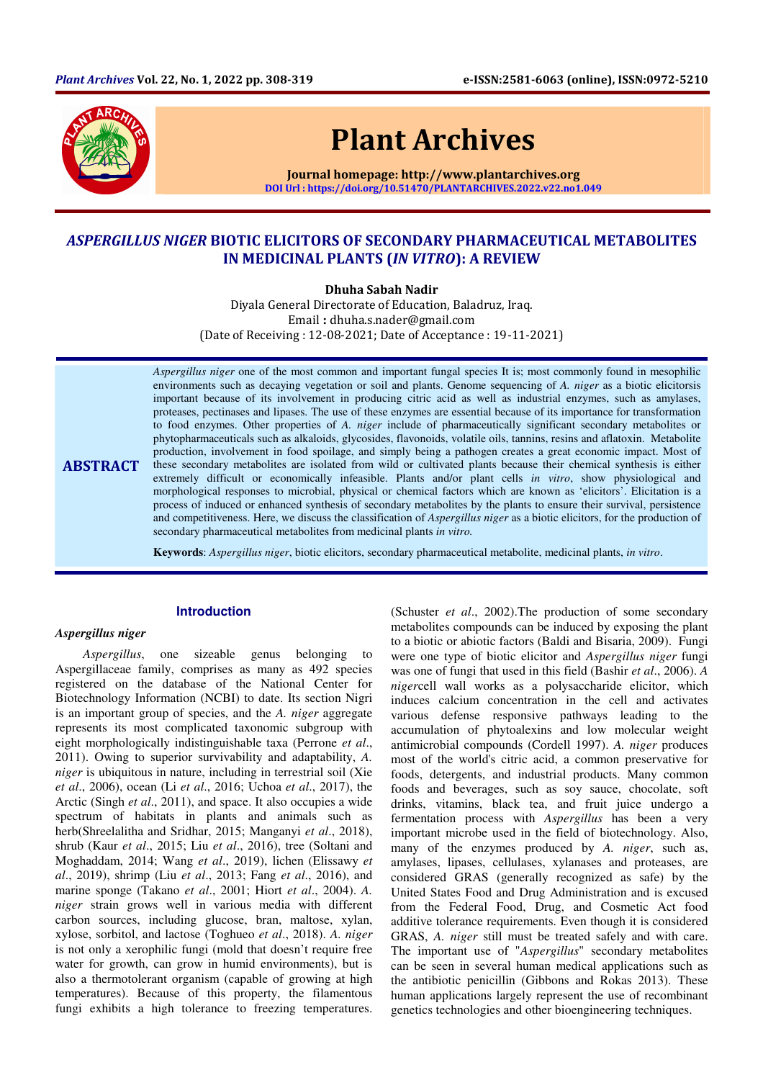

# Plant Archives

Journal homepage: http://www.plantarchives.org DOI Url : https://doi.org/10.51470/PLANTARCHIVES.2022.v22.no1.049

# ASPERGILLUS NIGER BIOTIC ELICITORS OF SECONDARY PHARMACEUTICAL METABOLITES IN MEDICINAL PLANTS (IN VITRO): A REVIEW

Dhuha Sabah Nadir

Diyala General Directorate of Education, Baladruz, Iraq. Email : dhuha.s.nader@gmail.com (Date of Receiving : 12-08-2021; Date of Acceptance : 19-11-2021)

*Aspergillus niger* one of the most common and important fungal species It is; most commonly found in mesophilic environments such as decaying vegetation or soil and plants. Genome sequencing of *A. niger* as a biotic elicitorsis important because of its involvement in producing citric acid as well as industrial enzymes, such as amylases, proteases, pectinases and lipases. The use of these enzymes are essential because of its importance for transformation to food enzymes. Other properties of *A. niger* include of pharmaceutically significant secondary metabolites or phytopharmaceuticals such as alkaloids, glycosides, flavonoids, volatile oils, tannins, resins and aflatoxin. Metabolite production, involvement in food spoilage, and simply being a pathogen creates a great economic impact. Most of these secondary metabolites are isolated from wild or cultivated plants because their chemical synthesis is either extremely difficult or economically infeasible. Plants and/or plant cells *in vitro*, show physiological and morphological responses to microbial, physical or chemical factors which are known as 'elicitors'. Elicitation is a process of induced or enhanced synthesis of secondary metabolites by the plants to ensure their survival, persistence and competitiveness. Here, we discuss the classification of *Aspergillus niger* as a biotic elicitors, for the production of secondary pharmaceutical metabolites from medicinal plants *in vitro.*

**Keywords**: *Aspergillus niger*, biotic elicitors, secondary pharmaceutical metabolite, medicinal plants, *in vitro*.

#### **Introduction**

#### *Aspergillus niger*

**ABSTRACT** 

*Aspergillus*, one sizeable genus belonging to Aspergillaceae family, comprises as many as 492 species registered on the database of the National Center for Biotechnology Information (NCBI) to date. Its section Nigri is an important group of species, and the *A. niger* aggregate represents its most complicated taxonomic subgroup with eight morphologically indistinguishable taxa (Perrone *et al*., 2011). Owing to superior survivability and adaptability, *A. niger* is ubiquitous in nature, including in terrestrial soil (Xie *et al*., 2006), ocean (Li *et al*., 2016; Uchoa *et al*., 2017), the Arctic (Singh *et al*., 2011), and space. It also occupies a wide spectrum of habitats in plants and animals such as herb(Shreelalitha and Sridhar, 2015; Manganyi *et al*., 2018), shrub (Kaur *et al*., 2015; Liu *et al*., 2016), tree (Soltani and Moghaddam, 2014; Wang *et al*., 2019), lichen (Elissawy *et al*., 2019), shrimp (Liu *et al*., 2013; Fang *et al*., 2016), and marine sponge (Takano *et al*., 2001; Hiort *et al*., 2004). *A. niger* strain grows well in various media with different carbon sources, including glucose, bran, maltose, xylan, xylose, sorbitol, and lactose (Toghueo *et al*., 2018). *A. niger* is not only a xerophilic fungi (mold that doesn't require free water for growth, can grow in humid environments), but is also a thermotolerant organism (capable of growing at high temperatures). Because of this property, the filamentous fungi exhibits a high tolerance to freezing temperatures.

(Schuster *et al*., 2002).The production of some secondary metabolites compounds can be induced by exposing the plant to a biotic or abiotic factors (Baldi and Bisaria, 2009). Fungi were one type of biotic elicitor and *Aspergillus niger* fungi was one of fungi that used in this field (Bashir *et al*., 2006). *A niger*cell wall works as a polysaccharide elicitor, which induces calcium concentration in the cell and activates various defense responsive pathways leading to the accumulation of phytoalexins and low molecular weight antimicrobial compounds (Cordell 1997). *A. niger* produces most of the world's citric acid, a common preservative for foods, detergents, and industrial products. Many common foods and beverages, such as soy sauce, chocolate, soft drinks, vitamins, black tea, and fruit juice undergo a fermentation process with *Aspergillus* has been a very important microbe used in the field of biotechnology. Also, many of the enzymes produced by *A. niger*, such as, amylases, lipases, cellulases, xylanases and proteases, are considered GRAS (generally recognized as safe) by the United States Food and Drug Administration and is excused from the Federal Food, Drug, and Cosmetic Act food additive tolerance requirements. Even though it is considered GRAS, *A. niger* still must be treated safely and with care. The important use of "*Aspergillus*" secondary metabolites can be seen in several human medical applications such as the antibiotic penicillin (Gibbons and Rokas 2013). These human applications largely represent the use of recombinant genetics technologies and other bioengineering techniques.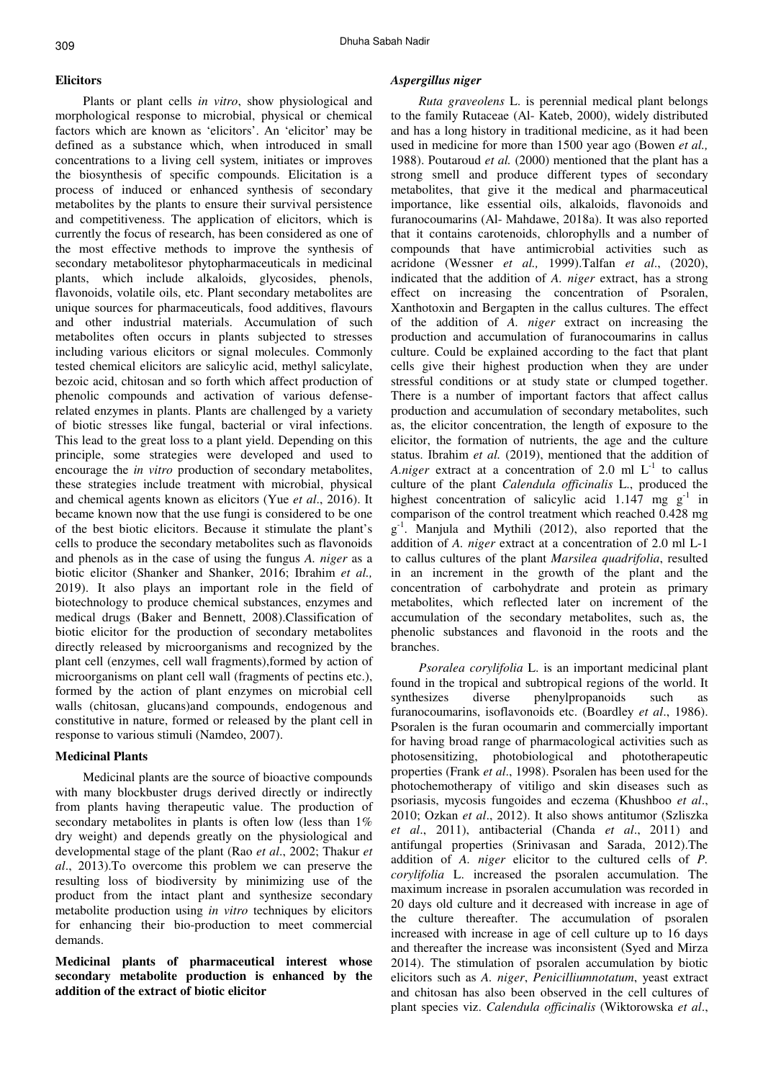#### **Elicitors**

Plants or plant cells *in vitro*, show physiological and morphological response to microbial, physical or chemical factors which are known as 'elicitors'. An 'elicitor' may be defined as a substance which, when introduced in small concentrations to a living cell system, initiates or improves the biosynthesis of specific compounds. Elicitation is a process of induced or enhanced synthesis of secondary metabolites by the plants to ensure their survival persistence and competitiveness. The application of elicitors, which is currently the focus of research, has been considered as one of the most effective methods to improve the synthesis of secondary metabolitesor phytopharmaceuticals in medicinal plants, which include alkaloids, glycosides, phenols, flavonoids, volatile oils, etc. Plant secondary metabolites are unique sources for pharmaceuticals, food additives, flavours and other industrial materials. Accumulation of such metabolites often occurs in plants subjected to stresses including various elicitors or signal molecules. Commonly tested chemical elicitors are salicylic acid, methyl salicylate, bezoic acid, chitosan and so forth which affect production of phenolic compounds and activation of various defenserelated enzymes in plants. Plants are challenged by a variety of biotic stresses like fungal, bacterial or viral infections. This lead to the great loss to a plant yield. Depending on this principle, some strategies were developed and used to encourage the *in vitro* production of secondary metabolites, these strategies include treatment with microbial, physical and chemical agents known as elicitors (Yue *et al*., 2016). It became known now that the use fungi is considered to be one of the best biotic elicitors. Because it stimulate the plant's cells to produce the secondary metabolites such as flavonoids and phenols as in the case of using the fungus *A. niger* as a biotic elicitor (Shanker and Shanker, 2016; Ibrahim *et al.,*  2019). It also plays an important role in the field of biotechnology to produce chemical substances, enzymes and medical drugs (Baker and Bennett, 2008).Classification of biotic elicitor for the production of secondary metabolites directly released by microorganisms and recognized by the plant cell (enzymes, cell wall fragments),formed by action of microorganisms on plant cell wall (fragments of pectins etc.), formed by the action of plant enzymes on microbial cell walls (chitosan, glucans)and compounds, endogenous and constitutive in nature, formed or released by the plant cell in response to various stimuli (Namdeo, 2007).

#### **Medicinal Plants**

Medicinal plants are the source of bioactive compounds with many blockbuster drugs derived directly or indirectly from plants having therapeutic value. The production of secondary metabolites in plants is often low (less than 1% dry weight) and depends greatly on the physiological and developmental stage of the plant (Rao *et al*., 2002; Thakur *et al*., 2013).To overcome this problem we can preserve the resulting loss of biodiversity by minimizing use of the product from the intact plant and synthesize secondary metabolite production using *in vitro* techniques by elicitors for enhancing their bio-production to meet commercial demands.

## **Medicinal plants of pharmaceutical interest whose secondary metabolite production is enhanced by the addition of the extract of biotic elicitor**

#### *Aspergillus niger*

*Ruta graveolens* L. is perennial medical plant belongs to the family Rutaceae (Al- Kateb, 2000), widely distributed and has a long history in traditional medicine, as it had been used in medicine for more than 1500 year ago (Bowen *et al.,*  1988). Poutaroud *et al.* (2000) mentioned that the plant has a strong smell and produce different types of secondary metabolites, that give it the medical and pharmaceutical importance, like essential oils, alkaloids, flavonoids and furanocoumarins (Al- Mahdawe, 2018a). It was also reported that it contains carotenoids, chlorophylls and a number of compounds that have antimicrobial activities such as acridone (Wessner *et al.,* 1999).Talfan *et al*., (2020), indicated that the addition of *A. niger* extract, has a strong effect on increasing the concentration of Psoralen, Xanthotoxin and Bergapten in the callus cultures. The effect of the addition of *A. niger* extract on increasing the production and accumulation of furanocoumarins in callus culture. Could be explained according to the fact that plant cells give their highest production when they are under stressful conditions or at study state or clumped together. There is a number of important factors that affect callus production and accumulation of secondary metabolites, such as, the elicitor concentration, the length of exposure to the elicitor, the formation of nutrients, the age and the culture status. Ibrahim *et al.* (2019), mentioned that the addition of *A.niger* extract at a concentration of 2.0 ml  $L^{-1}$  to callus culture of the plant *Calendula officinalis* L., produced the highest concentration of salicylic acid 1.147 mg  $g^{-1}$  in comparison of the control treatment which reached 0.428 mg g<sup>-1</sup>. Manjula and Mythili (2012), also reported that the addition of *A. niger* extract at a concentration of 2.0 ml L-1 to callus cultures of the plant *Marsilea quadrifolia*, resulted in an increment in the growth of the plant and the concentration of carbohydrate and protein as primary metabolites, which reflected later on increment of the accumulation of the secondary metabolites, such as, the phenolic substances and flavonoid in the roots and the branches.

*Psoralea corylifolia* L. is an important medicinal plant found in the tropical and subtropical regions of the world. It synthesizes diverse phenylpropanoids such as furanocoumarins, isoflavonoids etc. (Boardley *et al*., 1986). Psoralen is the furan ocoumarin and commercially important for having broad range of pharmacological activities such as photosensitizing, photobiological and phototherapeutic properties (Frank *et al*., 1998). Psoralen has been used for the photochemotherapy of vitiligo and skin diseases such as psoriasis, mycosis fungoides and eczema (Khushboo *et al*., 2010; Ozkan *et al*., 2012). It also shows antitumor (Szliszka *et al*., 2011), antibacterial (Chanda *et al*., 2011) and antifungal properties (Srinivasan and Sarada, 2012).The addition of *A. niger* elicitor to the cultured cells of *P. corylifolia* L. increased the psoralen accumulation. The maximum increase in psoralen accumulation was recorded in 20 days old culture and it decreased with increase in age of the culture thereafter. The accumulation of psoralen increased with increase in age of cell culture up to 16 days and thereafter the increase was inconsistent (Syed and Mirza 2014). The stimulation of psoralen accumulation by biotic elicitors such as *A. niger*, *Penicilliumnotatum*, yeast extract and chitosan has also been observed in the cell cultures of plant species viz. *Calendula officinalis* (Wiktorowska *et al*.,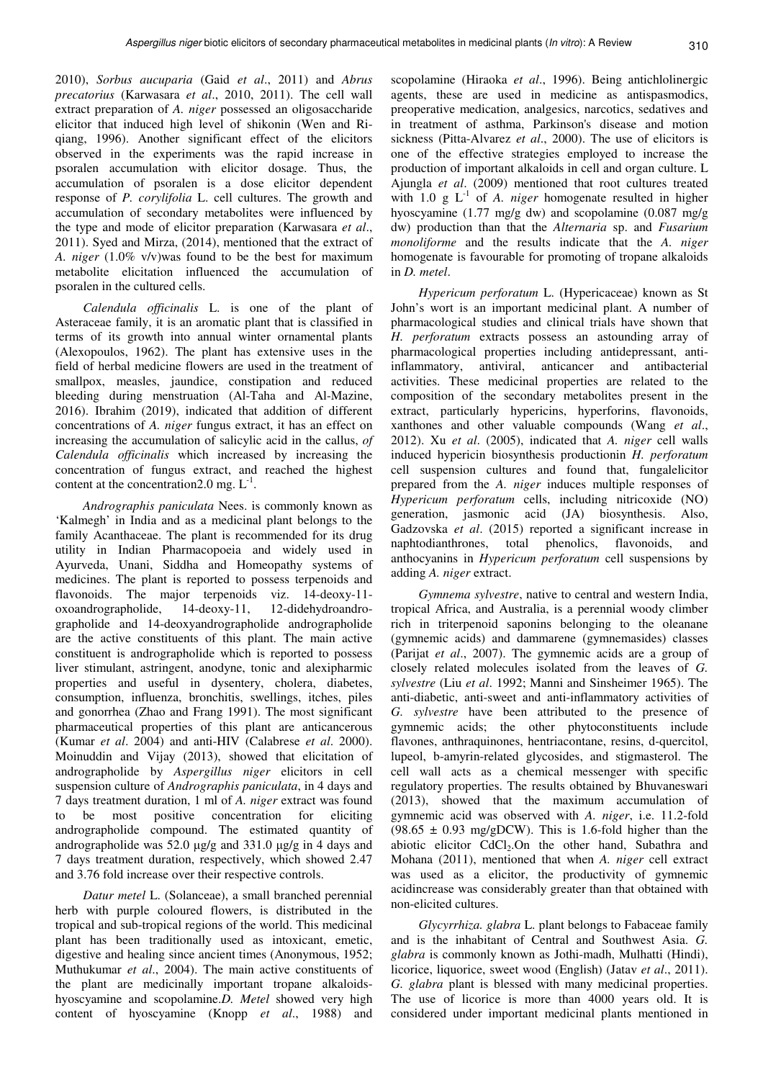2010), *Sorbus aucuparia* (Gaid *et al*., 2011) and *Abrus precatorius* (Karwasara *et al*., 2010, 2011). The cell wall extract preparation of *A. niger* possessed an oligosaccharide elicitor that induced high level of shikonin (Wen and Riqiang, 1996). Another significant effect of the elicitors observed in the experiments was the rapid increase in psoralen accumulation with elicitor dosage. Thus, the accumulation of psoralen is a dose elicitor dependent response of *P. corylifolia* L. cell cultures. The growth and accumulation of secondary metabolites were influenced by the type and mode of elicitor preparation (Karwasara *et al*., 2011). Syed and Mirza, (2014), mentioned that the extract of *A. niger* (1.0% v/v)was found to be the best for maximum metabolite elicitation influenced the accumulation of psoralen in the cultured cells.

*Calendula officinalis* L. is one of the plant of Asteraceae family, it is an aromatic plant that is classified in terms of its growth into annual winter ornamental plants (Alexopoulos, 1962). The plant has extensive uses in the field of herbal medicine flowers are used in the treatment of smallpox, measles, jaundice, constipation and reduced bleeding during menstruation (Al-Taha and Al-Mazine, 2016). Ibrahim (2019), indicated that addition of different concentrations of *A. niger* fungus extract, it has an effect on increasing the accumulation of salicylic acid in the callus, *of Calendula officinalis* which increased by increasing the concentration of fungus extract, and reached the highest content at the concentration 2.0 mg.  $L^{-1}$ .

*Andrographis paniculata* Nees. is commonly known as 'Kalmegh' in India and as a medicinal plant belongs to the family Acanthaceae. The plant is recommended for its drug utility in Indian Pharmacopoeia and widely used in Ayurveda, Unani, Siddha and Homeopathy systems of medicines. The plant is reported to possess terpenoids and flavonoids. The major terpenoids viz. 14-deoxy-11oxoandrographolide, 14-deoxy-11, 12-didehydroandrographolide and 14-deoxyandrographolide andrographolide are the active constituents of this plant. The main active constituent is andrographolide which is reported to possess liver stimulant, astringent, anodyne, tonic and alexipharmic properties and useful in dysentery, cholera, diabetes, consumption, influenza, bronchitis, swellings, itches, piles and gonorrhea (Zhao and Frang 1991). The most significant pharmaceutical properties of this plant are anticancerous (Kumar *et al*. 2004) and anti-HIV (Calabrese *et al*. 2000). Moinuddin and Vijay (2013), showed that elicitation of andrographolide by *Aspergillus niger* elicitors in cell suspension culture of *Andrographis paniculata*, in 4 days and 7 days treatment duration, 1 ml of *A. niger* extract was found to be most positive concentration for eliciting andrographolide compound. The estimated quantity of andrographolide was 52.0 µg/g and 331.0 µg/g in 4 days and 7 days treatment duration, respectively, which showed 2.47 and 3.76 fold increase over their respective controls.

*Datur metel* L. (Solanceae), a small branched perennial herb with purple coloured flowers, is distributed in the tropical and sub-tropical regions of the world. This medicinal plant has been traditionally used as intoxicant, emetic, digestive and healing since ancient times (Anonymous, 1952; Muthukumar *et al*., 2004). The main active constituents of the plant are medicinally important tropane alkaloidshyoscyamine and scopolamine.*D. Metel* showed very high content of hyoscyamine (Knopp *et al*., 1988) and

scopolamine (Hiraoka *et al*., 1996). Being antichlolinergic agents, these are used in medicine as antispasmodics, preoperative medication, analgesics, narcotics, sedatives and in treatment of asthma, Parkinson's disease and motion sickness (Pitta-Alvarez *et al*., 2000). The use of elicitors is one of the effective strategies employed to increase the production of important alkaloids in cell and organ culture. L Ajungla *et al*. (2009) mentioned that root cultures treated with  $1.0 \text{ g L}^{-1}$  of *A. niger* homogenate resulted in higher hyoscyamine (1.77 mg/g dw) and scopolamine (0.087 mg/g dw) production than that the *Alternaria* sp. and *Fusarium monoliforme* and the results indicate that the *A. niger* homogenate is favourable for promoting of tropane alkaloids in *D. metel*.

*Hypericum perforatum* L. (Hypericaceae) known as St John's wort is an important medicinal plant. A number of pharmacological studies and clinical trials have shown that *H. perforatum* extracts possess an astounding array of pharmacological properties including antidepressant, antiinflammatory, antiviral, anticancer and antibacterial activities. These medicinal properties are related to the composition of the secondary metabolites present in the extract, particularly hypericins, hyperforins, flavonoids, xanthones and other valuable compounds (Wang *et al*., 2012). Xu *et al*. (2005), indicated that *A. niger* cell walls induced hypericin biosynthesis productionin *H. perforatum*  cell suspension cultures and found that, fungalelicitor prepared from the *A. niger* induces multiple responses of *Hypericum perforatum* cells, including nitricoxide (NO) generation, jasmonic acid (JA) biosynthesis. Also, Gadzovska *et al*. (2015) reported a significant increase in naphtodianthrones, total phenolics, flavonoids, and anthocyanins in *Hypericum perforatum* cell suspensions by adding *A. niger* extract.

*Gymnema sylvestre*, native to central and western India, tropical Africa, and Australia, is a perennial woody climber rich in triterpenoid saponins belonging to the oleanane (gymnemic acids) and dammarene (gymnemasides) classes (Parijat *et al*., 2007). The gymnemic acids are a group of closely related molecules isolated from the leaves of *G. sylvestre* (Liu *et al*. 1992; Manni and Sinsheimer 1965). The anti-diabetic, anti-sweet and anti-inflammatory activities of *G. sylvestre* have been attributed to the presence of gymnemic acids; the other phytoconstituents include flavones, anthraquinones, hentriacontane, resins, d-quercitol, lupeol, b-amyrin-related glycosides, and stigmasterol. The cell wall acts as a chemical messenger with specific regulatory properties. The results obtained by Bhuvaneswari (2013), showed that the maximum accumulation of gymnemic acid was observed with *A. niger*, i.e. 11.2-fold  $(98.65 \pm 0.93 \text{ mg/gDCW})$ . This is 1.6-fold higher than the abiotic elicitor  $CdCl<sub>2</sub>$ . On the other hand, Subathra and Mohana (2011), mentioned that when *A. niger* cell extract was used as a elicitor, the productivity of gymnemic acidincrease was considerably greater than that obtained with non-elicited cultures.

*Glycyrrhiza. glabra* L. plant belongs to Fabaceae family and is the inhabitant of Central and Southwest Asia. *G. glabra* is commonly known as Jothi-madh, Mulhatti (Hindi), licorice, liquorice, sweet wood (English) (Jatav *et al*., 2011). *G. glabra* plant is blessed with many medicinal properties. The use of licorice is more than 4000 years old. It is considered under important medicinal plants mentioned in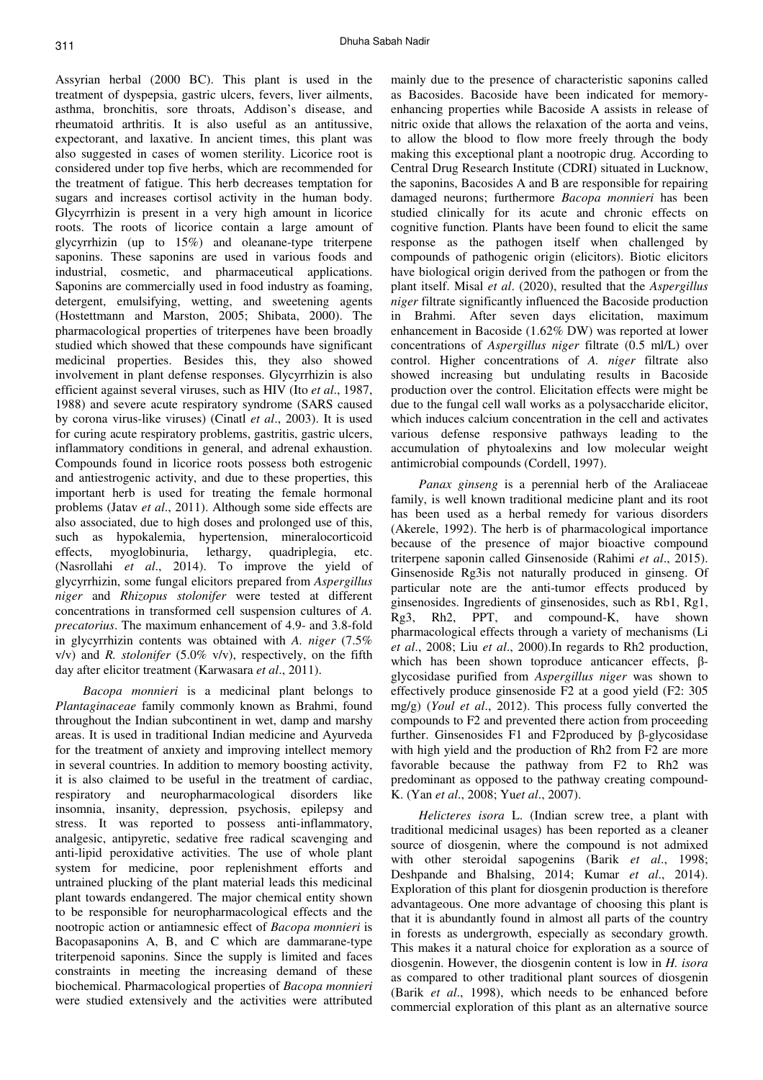Assyrian herbal (2000 BC). This plant is used in the treatment of dyspepsia, gastric ulcers, fevers, liver ailments, asthma, bronchitis, sore throats, Addison's disease, and rheumatoid arthritis. It is also useful as an antitussive, expectorant, and laxative. In ancient times, this plant was also suggested in cases of women sterility. Licorice root is considered under top five herbs, which are recommended for the treatment of fatigue. This herb decreases temptation for sugars and increases cortisol activity in the human body. Glycyrrhizin is present in a very high amount in licorice roots. The roots of licorice contain a large amount of glycyrrhizin (up to 15%) and oleanane-type triterpene saponins. These saponins are used in various foods and industrial, cosmetic, and pharmaceutical applications. Saponins are commercially used in food industry as foaming, detergent, emulsifying, wetting, and sweetening agents (Hostettmann and Marston, 2005; Shibata, 2000). The pharmacological properties of triterpenes have been broadly studied which showed that these compounds have significant medicinal properties. Besides this, they also showed involvement in plant defense responses. Glycyrrhizin is also efficient against several viruses, such as HIV (Ito *et al*., 1987, 1988) and severe acute respiratory syndrome (SARS caused by corona virus-like viruses) (Cinatl *et al*., 2003). It is used for curing acute respiratory problems, gastritis, gastric ulcers, inflammatory conditions in general, and adrenal exhaustion. Compounds found in licorice roots possess both estrogenic and antiestrogenic activity, and due to these properties, this important herb is used for treating the female hormonal problems (Jatav *et al*., 2011). Although some side effects are also associated, due to high doses and prolonged use of this, such as hypokalemia, hypertension, mineralocorticoid effects, myoglobinuria, lethargy, quadriplegia, etc. (Nasrollahi *et al*., 2014). To improve the yield of glycyrrhizin, some fungal elicitors prepared from *Aspergillus niger* and *Rhizopus stolonifer* were tested at different concentrations in transformed cell suspension cultures of *A. precatorius*. The maximum enhancement of 4.9- and 3.8-fold in glycyrrhizin contents was obtained with *A. niger* (7.5% v/v) and *R. stolonifer* (5.0% v/v), respectively, on the fifth day after elicitor treatment (Karwasara *et al*., 2011).

*Bacopa monnieri* is a medicinal plant belongs to *Plantaginaceae* family commonly known as Brahmi, found throughout the Indian subcontinent in wet, damp and marshy areas. It is used in traditional Indian medicine and Ayurveda for the treatment of anxiety and improving intellect memory in several countries. In addition to memory boosting activity, it is also claimed to be useful in the treatment of cardiac, respiratory and neuropharmacological disorders like insomnia, insanity, depression, psychosis, epilepsy and stress. It was reported to possess anti-inflammatory, analgesic, antipyretic, sedative free radical scavenging and anti-lipid peroxidative activities. The use of whole plant system for medicine, poor replenishment efforts and untrained plucking of the plant material leads this medicinal plant towards endangered. The major chemical entity shown to be responsible for neuropharmacological effects and the nootropic action or antiamnesic effect of *Bacopa monnieri* is Bacopasaponins A, B, and C which are dammarane-type triterpenoid saponins. Since the supply is limited and faces constraints in meeting the increasing demand of these biochemical. Pharmacological properties of *Bacopa monnieri*  were studied extensively and the activities were attributed

mainly due to the presence of characteristic saponins called as Bacosides. Bacoside have been indicated for memoryenhancing properties while Bacoside A assists in release of nitric oxide that allows the relaxation of the aorta and veins, to allow the blood to flow more freely through the body making this exceptional plant a nootropic drug*.* According to Central Drug Research Institute (CDRI) situated in Lucknow, the saponins, Bacosides A and B are responsible for repairing damaged neurons; furthermore *Bacopa monnieri* has been studied clinically for its acute and chronic effects on cognitive function. Plants have been found to elicit the same response as the pathogen itself when challenged by compounds of pathogenic origin (elicitors). Biotic elicitors have biological origin derived from the pathogen or from the plant itself. Misal *et al*. (2020), resulted that the *Aspergillus niger* filtrate significantly influenced the Bacoside production in Brahmi. After seven days elicitation, maximum enhancement in Bacoside (1.62% DW) was reported at lower concentrations of *Aspergillus niger* filtrate (0.5 ml/L) over control. Higher concentrations of *A. niger* filtrate also showed increasing but undulating results in Bacoside production over the control. Elicitation effects were might be due to the fungal cell wall works as a polysaccharide elicitor, which induces calcium concentration in the cell and activates various defense responsive pathways leading to the accumulation of phytoalexins and low molecular weight antimicrobial compounds (Cordell, 1997).

*Panax ginseng* is a perennial herb of the Araliaceae family, is well known traditional medicine plant and its root has been used as a herbal remedy for various disorders (Akerele, 1992). The herb is of pharmacological importance because of the presence of major bioactive compound triterpene saponin called Ginsenoside (Rahimi *et al*., 2015). Ginsenoside Rg3is not naturally produced in ginseng. Of particular note are the anti-tumor effects produced by ginsenosides. Ingredients of ginsenosides, such as Rb1, Rg1, Rg3, Rh2, PPT, and compound-K, have shown pharmacological effects through a variety of mechanisms (Li *et al*., 2008; Liu *et al*., 2000).In regards to Rh2 production, which has been shown toproduce anticancer effects, βglycosidase purified from *Aspergillus niger* was shown to effectively produce ginsenoside F2 at a good yield (F2: 305 mg/g) (*Youl et al*., 2012). This process fully converted the compounds to F2 and prevented there action from proceeding further. Ginsenosides F1 and F2produced by β-glycosidase with high yield and the production of Rh2 from F2 are more favorable because the pathway from F2 to Rh2 was predominant as opposed to the pathway creating compound-K. (Yan *et al*., 2008; Yu*et al*., 2007).

*Helicteres isora* L. (Indian screw tree, a plant with traditional medicinal usages) has been reported as a cleaner source of diosgenin, where the compound is not admixed with other steroidal sapogenins (Barik *et al*., 1998; Deshpande and Bhalsing, 2014; Kumar *et al*., 2014). Exploration of this plant for diosgenin production is therefore advantageous. One more advantage of choosing this plant is that it is abundantly found in almost all parts of the country in forests as undergrowth, especially as secondary growth. This makes it a natural choice for exploration as a source of diosgenin. However, the diosgenin content is low in *H. isora* as compared to other traditional plant sources of diosgenin (Barik *et al*., 1998), which needs to be enhanced before commercial exploration of this plant as an alternative source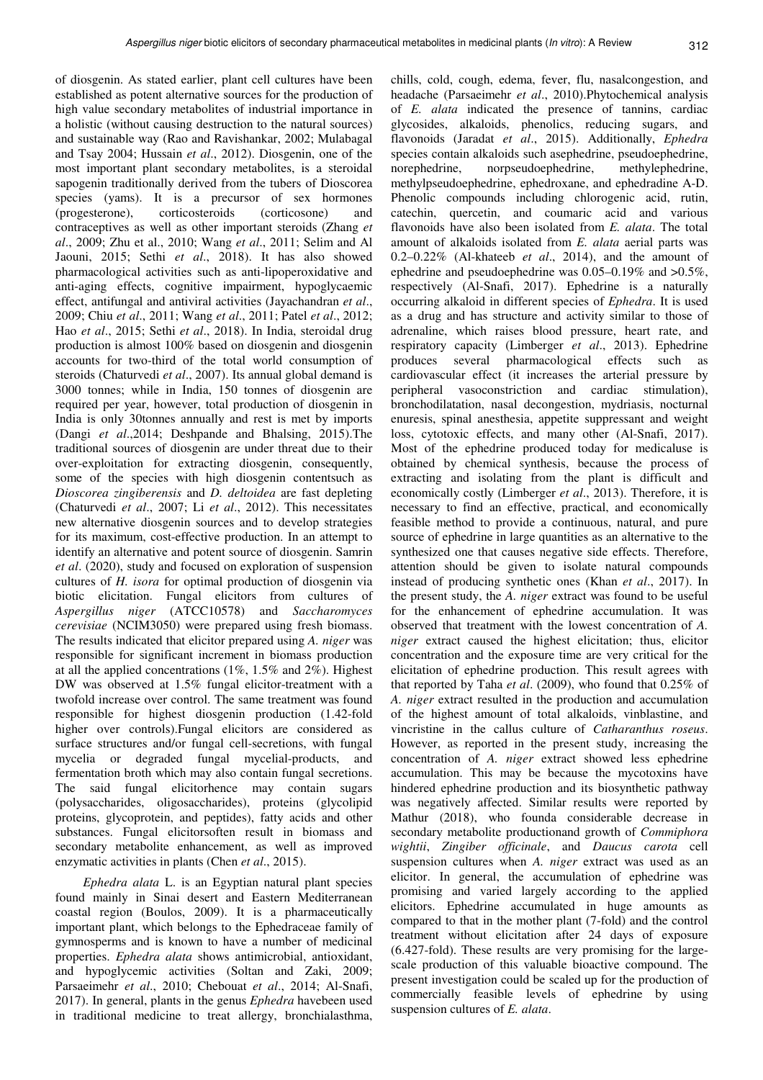of diosgenin. As stated earlier, plant cell cultures have been established as potent alternative sources for the production of high value secondary metabolites of industrial importance in a holistic (without causing destruction to the natural sources) and sustainable way (Rao and Ravishankar, 2002; Mulabagal and Tsay 2004; Hussain *et al*., 2012). Diosgenin, one of the most important plant secondary metabolites, is a steroidal sapogenin traditionally derived from the tubers of Dioscorea species (yams). It is a precursor of sex hormones (progesterone), corticosteroids (corticosone) and contraceptives as well as other important steroids (Zhang *et al*., 2009; Zhu et al., 2010; Wang *et al*., 2011; Selim and Al Jaouni, 2015; Sethi *et al*., 2018). It has also showed pharmacological activities such as anti-lipoperoxidative and anti-aging effects, cognitive impairment, hypoglycaemic effect, antifungal and antiviral activities (Jayachandran *et al*., 2009; Chiu *et al*., 2011; Wang *et al*., 2011; Patel *et al*., 2012; Hao *et al*., 2015; Sethi *et al*., 2018). In India, steroidal drug production is almost 100% based on diosgenin and diosgenin accounts for two-third of the total world consumption of steroids (Chaturvedi *et al*., 2007). Its annual global demand is 3000 tonnes; while in India, 150 tonnes of diosgenin are required per year, however, total production of diosgenin in India is only 30tonnes annually and rest is met by imports (Dangi *et al*.,2014; Deshpande and Bhalsing, 2015).The traditional sources of diosgenin are under threat due to their over-exploitation for extracting diosgenin, consequently, some of the species with high diosgenin contentsuch as *Dioscorea zingiberensis* and *D. deltoidea* are fast depleting (Chaturvedi *et al*., 2007; Li *et al*., 2012). This necessitates new alternative diosgenin sources and to develop strategies for its maximum, cost-effective production. In an attempt to identify an alternative and potent source of diosgenin. Samrin *et al*. (2020), study and focused on exploration of suspension cultures of *H. isora* for optimal production of diosgenin via biotic elicitation. Fungal elicitors from cultures of *Aspergillus niger* (ATCC10578) and *Saccharomyces cerevisiae* (NCIM3050) were prepared using fresh biomass. The results indicated that elicitor prepared using *A. niger* was responsible for significant increment in biomass production at all the applied concentrations  $(1\%, 1.5\%$  and  $2\%)$ . Highest DW was observed at 1.5% fungal elicitor-treatment with a twofold increase over control. The same treatment was found responsible for highest diosgenin production (1.42-fold higher over controls).Fungal elicitors are considered as surface structures and/or fungal cell-secretions, with fungal mycelia or degraded fungal mycelial-products, and fermentation broth which may also contain fungal secretions. The said fungal elicitorhence may contain sugars (polysaccharides, oligosaccharides), proteins (glycolipid proteins, glycoprotein, and peptides), fatty acids and other substances. Fungal elicitorsoften result in biomass and secondary metabolite enhancement, as well as improved enzymatic activities in plants (Chen *et al*., 2015).

*Ephedra alata* L. is an Egyptian natural plant species found mainly in Sinai desert and Eastern Mediterranean coastal region (Boulos, 2009). It is a pharmaceutically important plant, which belongs to the Ephedraceae family of gymnosperms and is known to have a number of medicinal properties. *Ephedra alata* shows antimicrobial, antioxidant, and hypoglycemic activities (Soltan and Zaki, 2009; Parsaeimehr *et al*., 2010; Chebouat *et al*., 2014; Al-Snafi, 2017). In general, plants in the genus *Ephedra* havebeen used in traditional medicine to treat allergy, bronchialasthma,

chills, cold, cough, edema, fever, flu, nasalcongestion, and headache (Parsaeimehr *et al*., 2010).Phytochemical analysis of *E. alata* indicated the presence of tannins, cardiac glycosides, alkaloids, phenolics, reducing sugars, and flavonoids (Jaradat *et al*., 2015). Additionally, *Ephedra* species contain alkaloids such asephedrine, pseudoephedrine, norephedrine, norpseudoephedrine, methylephedrine, methylpseudoephedrine, ephedroxane, and ephedradine A-D. Phenolic compounds including chlorogenic acid, rutin, catechin, quercetin, and coumaric acid and various flavonoids have also been isolated from *E. alata*. The total amount of alkaloids isolated from *E. alata* aerial parts was 0.2–0.22% (Al-khateeb *et al*., 2014), and the amount of ephedrine and pseudoephedrine was 0.05–0.19% and >0.5%, respectively (Al-Snafi, 2017). Ephedrine is a naturally occurring alkaloid in different species of *Ephedra*. It is used as a drug and has structure and activity similar to those of adrenaline, which raises blood pressure, heart rate, and respiratory capacity (Limberger *et al*., 2013). Ephedrine produces several pharmacological effects such as cardiovascular effect (it increases the arterial pressure by peripheral vasoconstriction and cardiac stimulation), bronchodilatation, nasal decongestion, mydriasis, nocturnal enuresis, spinal anesthesia, appetite suppressant and weight loss, cytotoxic effects, and many other (Al-Snafi, 2017). Most of the ephedrine produced today for medicaluse is obtained by chemical synthesis, because the process of extracting and isolating from the plant is difficult and economically costly (Limberger *et al*., 2013). Therefore, it is necessary to find an effective, practical, and economically feasible method to provide a continuous, natural, and pure source of ephedrine in large quantities as an alternative to the synthesized one that causes negative side effects. Therefore, attention should be given to isolate natural compounds instead of producing synthetic ones (Khan *et al*., 2017). In the present study, the *A. niger* extract was found to be useful for the enhancement of ephedrine accumulation. It was observed that treatment with the lowest concentration of *A. niger* extract caused the highest elicitation; thus, elicitor concentration and the exposure time are very critical for the elicitation of ephedrine production. This result agrees with that reported by Taha *et al*. (2009), who found that 0.25% of *A. niger* extract resulted in the production and accumulation of the highest amount of total alkaloids, vinblastine, and vincristine in the callus culture of *Catharanthus roseus*. However, as reported in the present study, increasing the concentration of *A. niger* extract showed less ephedrine accumulation. This may be because the mycotoxins have hindered ephedrine production and its biosynthetic pathway was negatively affected. Similar results were reported by Mathur (2018), who founda considerable decrease in secondary metabolite productionand growth of *Commiphora wightii*, *Zingiber officinale*, and *Daucus carota* cell suspension cultures when *A. niger* extract was used as an elicitor. In general, the accumulation of ephedrine was promising and varied largely according to the applied elicitors. Ephedrine accumulated in huge amounts as compared to that in the mother plant (7-fold) and the control treatment without elicitation after 24 days of exposure (6.427-fold). These results are very promising for the largescale production of this valuable bioactive compound. The present investigation could be scaled up for the production of commercially feasible levels of ephedrine by using suspension cultures of *E. alata*.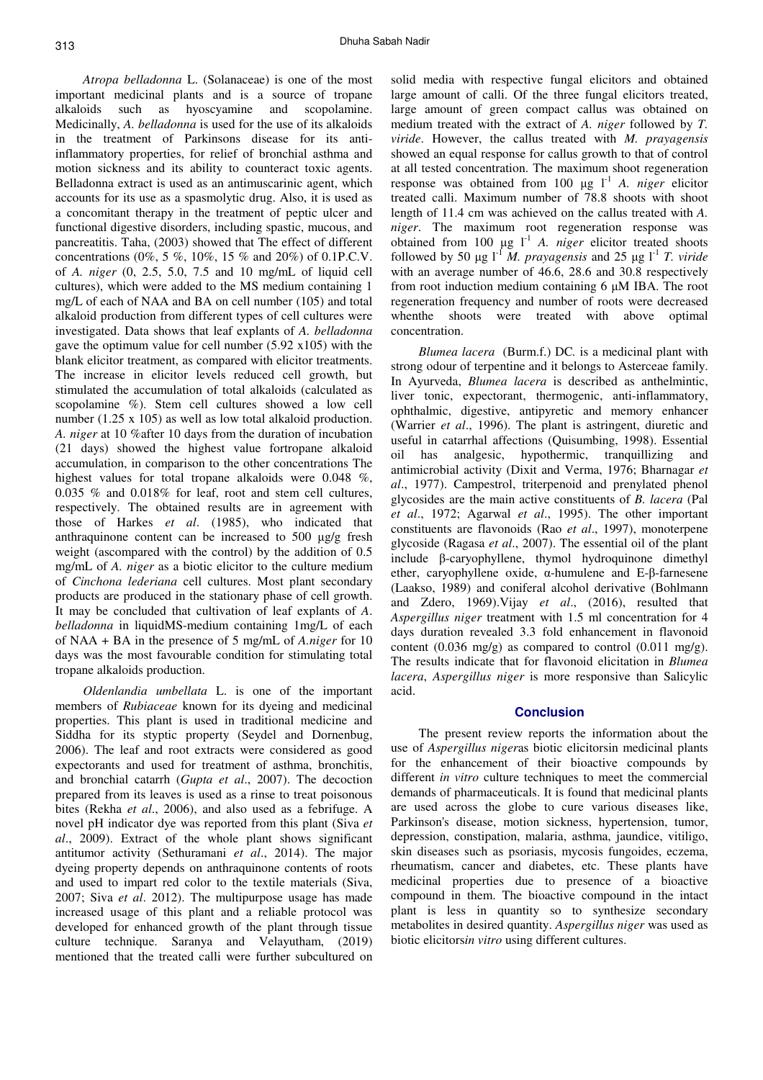*Atropa belladonna* L. (Solanaceae) is one of the most important medicinal plants and is a source of tropane alkaloids such as hyoscyamine and scopolamine. Medicinally, *A. belladonna* is used for the use of its alkaloids in the treatment of Parkinsons disease for its antiinflammatory properties, for relief of bronchial asthma and motion sickness and its ability to counteract toxic agents. Belladonna extract is used as an antimuscarinic agent, which accounts for its use as a spasmolytic drug. Also, it is used as a concomitant therapy in the treatment of peptic ulcer and functional digestive disorders, including spastic, mucous, and pancreatitis. Taha, (2003) showed that The effect of different concentrations (0%, 5 %, 10%, 15 % and 20%) of 0.1P.C.V. of *A. niger* (0, 2.5, 5.0, 7.5 and 10 mg/mL of liquid cell cultures), which were added to the MS medium containing 1 mg/L of each of NAA and BA on cell number (105) and total alkaloid production from different types of cell cultures were investigated. Data shows that leaf explants of *A. belladonna*  gave the optimum value for cell number (5.92 x105) with the blank elicitor treatment, as compared with elicitor treatments. The increase in elicitor levels reduced cell growth, but stimulated the accumulation of total alkaloids (calculated as scopolamine %). Stem cell cultures showed a low cell number (1.25 x 105) as well as low total alkaloid production. *A. niger* at 10 %after 10 days from the duration of incubation (21 days) showed the highest value fortropane alkaloid accumulation, in comparison to the other concentrations The highest values for total tropane alkaloids were 0.048 %, 0.035 % and 0.018% for leaf, root and stem cell cultures, respectively. The obtained results are in agreement with those of Harkes *et al*. (1985), who indicated that anthraquinone content can be increased to 500 µg/g fresh weight (ascompared with the control) by the addition of 0.5 mg/mL of *A. niger* as a biotic elicitor to the culture medium of *Cinchona lederiana* cell cultures. Most plant secondary products are produced in the stationary phase of cell growth. It may be concluded that cultivation of leaf explants of *A*. *belladonna* in liquidMS-medium containing 1mg/L of each of NAA + BA in the presence of 5 mg/mL of *A.niger* for 10 days was the most favourable condition for stimulating total tropane alkaloids production.

*Oldenlandia umbellata* L. is one of the important members of *Rubiaceae* known for its dyeing and medicinal properties. This plant is used in traditional medicine and Siddha for its styptic property (Seydel and Dornenbug, 2006). The leaf and root extracts were considered as good expectorants and used for treatment of asthma, bronchitis, and bronchial catarrh (*Gupta et al*., 2007). The decoction prepared from its leaves is used as a rinse to treat poisonous bites (Rekha *et al*., 2006), and also used as a febrifuge. A novel pH indicator dye was reported from this plant (Siva *et al*., 2009). Extract of the whole plant shows significant antitumor activity (Sethuramani *et al*., 2014). The major dyeing property depends on anthraquinone contents of roots and used to impart red color to the textile materials (Siva, 2007; Siva *et al*. 2012). The multipurpose usage has made increased usage of this plant and a reliable protocol was developed for enhanced growth of the plant through tissue culture technique. Saranya and Velayutham, (2019) mentioned that the treated calli were further subcultured on

solid media with respective fungal elicitors and obtained large amount of calli. Of the three fungal elicitors treated, large amount of green compact callus was obtained on medium treated with the extract of *A. niger* followed by *T. viride*. However, the callus treated with *M. prayagensis*  showed an equal response for callus growth to that of control at all tested concentration. The maximum shoot regeneration response was obtained from 100  $\mu$ g  $I^1$  *A. niger* elicitor treated calli. Maximum number of 78.8 shoots with shoot length of 11.4 cm was achieved on the callus treated with *A. niger*. The maximum root regeneration response was obtained from 100  $\mu$ g l<sup>-1</sup> *A. niger* elicitor treated shoots followed by 50  $\mu$ g l<sup>-1</sup> *M. prayagensis* and 25  $\mu$ g l<sup>-1</sup> *T. viride* with an average number of 46.6, 28.6 and 30.8 respectively from root induction medium containing 6 µM IBA. The root regeneration frequency and number of roots were decreased whenthe shoots were treated with above optimal concentration.

*Blumea lacera* (Burm.f.) DC*.* is a medicinal plant with strong odour of terpentine and it belongs to Asterceae family. In Ayurveda, *Blumea lacera* is described as anthelmintic, liver tonic, expectorant, thermogenic, anti-inflammatory, ophthalmic, digestive, antipyretic and memory enhancer (Warrier *et al*., 1996). The plant is astringent, diuretic and useful in catarrhal affections (Quisumbing, 1998). Essential oil has analgesic, hypothermic, tranquillizing and antimicrobial activity (Dixit and Verma, 1976; Bharnagar *et al*., 1977). Campestrol, triterpenoid and prenylated phenol glycosides are the main active constituents of *B. lacera* (Pal *et al*., 1972; Agarwal *et al*., 1995). The other important constituents are flavonoids (Rao *et al*., 1997), monoterpene glycoside (Ragasa *et al*., 2007). The essential oil of the plant include β-caryophyllene, thymol hydroquinone dimethyl ether, caryophyllene oxide, α-humulene and E-β-farnesene (Laakso, 1989) and coniferal alcohol derivative (Bohlmann and Zdero, 1969).Vijay *et al*., (2016), resulted that *Aspergillus niger* treatment with 1.5 ml concentration for 4 days duration revealed 3.3 fold enhancement in flavonoid content  $(0.036 \text{ mg/g})$  as compared to control  $(0.011 \text{ mg/g})$ . The results indicate that for flavonoid elicitation in *Blumea lacera*, *Aspergillus niger* is more responsive than Salicylic acid.

#### **Conclusion**

The present review reports the information about the use of *Aspergillus niger*as biotic elicitorsin medicinal plants for the enhancement of their bioactive compounds by different *in vitro* culture techniques to meet the commercial demands of pharmaceuticals. It is found that medicinal plants are used across the globe to cure various diseases like, Parkinson's disease, motion sickness, hypertension, tumor, depression, constipation, malaria, asthma, jaundice, vitiligo, skin diseases such as psoriasis, mycosis fungoides, eczema, rheumatism, cancer and diabetes, etc. These plants have medicinal properties due to presence of a bioactive compound in them. The bioactive compound in the intact plant is less in quantity so to synthesize secondary metabolites in desired quantity. *Aspergillus niger* was used as biotic elicitors*in vitro* using different cultures.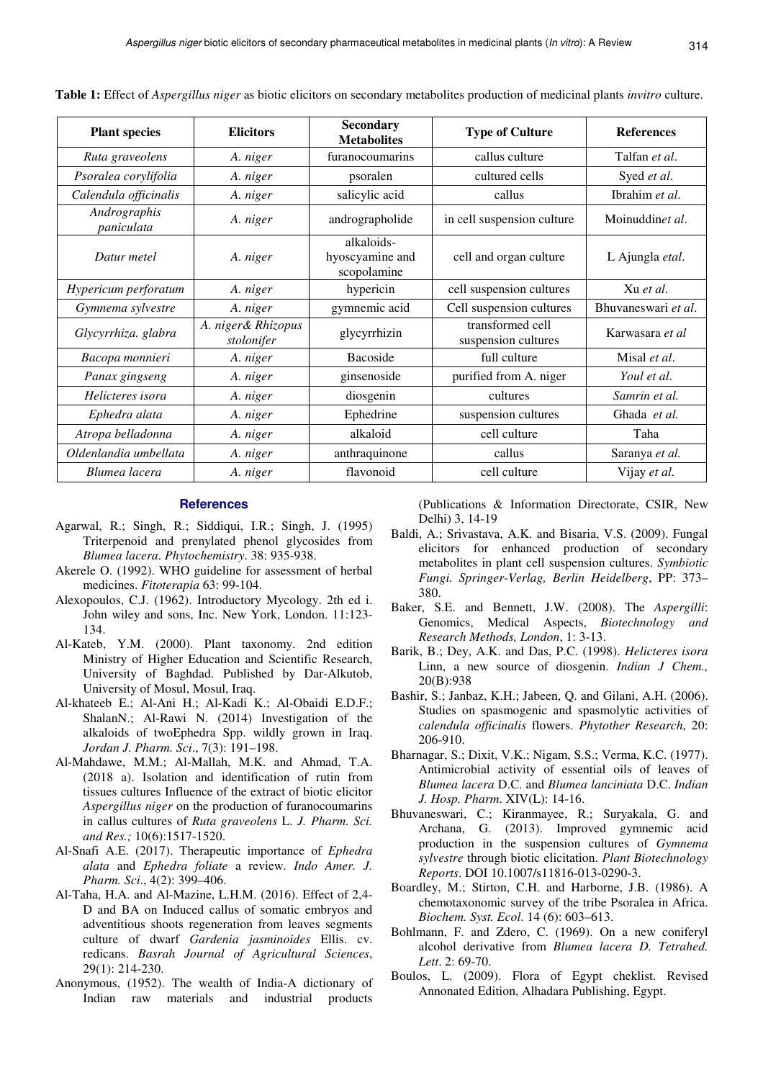| <b>Plant species</b>       | <b>Elicitors</b>                 | <b>Secondary</b><br><b>Metabolites</b>       | <b>Type of Culture</b>                  | <b>References</b>   |
|----------------------------|----------------------------------|----------------------------------------------|-----------------------------------------|---------------------|
| Ruta graveolens            | A. niger                         | furanocoumarins                              | callus culture                          | Talfan et al.       |
| Psoralea corylifolia       | A. niger                         | psoralen                                     | cultured cells                          | Syed et al.         |
| Calendula officinalis      | A. niger                         | salicylic acid                               | callus                                  | Ibrahim et al.      |
| Andrographis<br>paniculata | A. niger                         | andrographolide                              | in cell suspension culture              | Moinuddinet al.     |
| Datur metel                | A. niger                         | alkaloids-<br>hyoscyamine and<br>scopolamine | cell and organ culture                  | L Ajungla etal.     |
| Hypericum perforatum       | A. niger                         | hypericin                                    | cell suspension cultures                | Xu et al.           |
| Gymnema sylvestre          | A. niger                         | gymnemic acid                                | Cell suspension cultures                | Bhuvaneswari et al. |
| Glycyrrhiza. glabra        | A. niger& Rhizopus<br>stolonifer | glycyrrhizin                                 | transformed cell<br>suspension cultures | Karwasara et al     |
| Bacopa monnieri            | A. niger                         | <b>Bacoside</b>                              | full culture                            | Misal et al.        |
| Panax gingseng             | A. niger                         | ginsenoside                                  | purified from A. niger                  | Youl et al.         |
| Helicteres isora           | A. niger                         | diosgenin                                    | cultures                                | Samrin et al.       |
| Ephedra alata              | A. niger                         | Ephedrine                                    | suspension cultures                     | Ghada et al.        |
| Atropa belladonna          | A. niger                         | alkaloid                                     | cell culture                            | Taha                |
| Oldenlandia umbellata      | A. niger                         | anthraquinone                                | callus                                  | Saranya et al.      |
| Blumea lacera              | A. niger                         | flavonoid                                    | cell culture                            | Vijay et al.        |

**Table 1:** Effect of *Aspergillus niger* as biotic elicitors on secondary metabolites production of medicinal plants *invitro* culture.

### **References**

- Agarwal, R.; Singh, R.; Siddiqui, I.R.; Singh, J. (1995) Triterpenoid and prenylated phenol glycosides from *Blumea lacera*. *Phytochemistry*. 38: 935-938.
- Akerele O. (1992). WHO guideline for assessment of herbal medicines. *Fitoterapia* 63: 99-104.
- Alexopoulos, C.J. (1962). Introductory Mycology. 2th ed i. John wiley and sons, Inc. New York, London. 11:123- 134.
- Al-Kateb, Y.M. (2000). Plant taxonomy. 2nd edition Ministry of Higher Education and Scientific Research, University of Baghdad. Published by Dar-Alkutob, University of Mosul, Mosul, Iraq.
- Al-khateeb E.; Al-Ani H.; Al-Kadi K.; Al-Obaidi E.D.F.; ShalanN.; Al-Rawi N. (2014) Investigation of the alkaloids of twoEphedra Spp. wildly grown in Iraq. *Jordan J. Pharm. Sci*., 7(3): 191–198.
- Al-Mahdawe, M.M.; Al-Mallah, M.K. and Ahmad, T.A. (2018 a). Isolation and identification of rutin from tissues cultures Influence of the extract of biotic elicitor *Aspergillus niger* on the production of furanocoumarins in callus cultures of *Ruta graveolens* L. *J. Pharm. Sci. and Res.;* 10(6):1517-1520.
- Al-Snafi A.E. (2017). Therapeutic importance of *Ephedra alata* and *Ephedra foliate* a review. *Indo Amer. J. Pharm. Sci*., 4(2): 399–406.
- Al-Taha, H.A. and Al-Mazine, L.H.M. (2016). Effect of 2,4- D and BA on Induced callus of somatic embryos and adventitious shoots regeneration from leaves segments culture of dwarf *Gardenia jasminoides* Ellis. cv. redicans. *Basrah Journal of Agricultural Sciences*, 29(1): 214-230.
- Anonymous, (1952). The wealth of India-A dictionary of Indian raw materials and industrial products

(Publications & Information Directorate, CSIR, New Delhi) 3, 14-19

- Baldi, A.; Srivastava, A.K. and Bisaria, V.S. (2009). Fungal elicitors for enhanced production of secondary metabolites in plant cell suspension cultures. *Symbiotic Fungi. Springer-Verlag, Berlin Heidelberg*, PP: 373– 380.
- Baker, S.E. and Bennett, J.W. (2008). The *Aspergilli*: Genomics, Medical Aspects, *Biotechnology and Research Methods, London*, 1: 3-13.
- Barik, B.; Dey, A.K. and Das, P.C. (1998). *Helicteres isora* Linn, a new source of diosgenin. *Indian J Chem.,* 20(B):938
- Bashir, S.; Janbaz, K.H.; Jabeen, Q. and Gilani, A.H. (2006). Studies on spasmogenic and spasmolytic activities of *calendula officinalis* flowers. *Phytother Research*, 20: 206-910.
- Bharnagar, S.; Dixit, V.K.; Nigam, S.S.; Verma, K.C. (1977). Antimicrobial activity of essential oils of leaves of *Blumea lacera* D.C. and *Blumea lanciniata* D.C. *Indian J. Hosp. Pharm*. XIV(L): 14-16.
- Bhuvaneswari, C.; Kiranmayee, R.; Suryakala, G. and Archana, G. (2013). Improved gymnemic acid production in the suspension cultures of *Gymnema sylvestre* through biotic elicitation. *Plant Biotechnology Reports*. DOI 10.1007/s11816-013-0290-3.
- Boardley, M.; Stirton, C.H. and Harborne, J.B. (1986). A chemotaxonomic survey of the tribe Psoralea in Africa. *Biochem. Syst. Ecol*. 14 (6): 603–613.
- Bohlmann, F. and Zdero, C. (1969). On a new coniferyl alcohol derivative from *Blumea lacera D. Tetrahed. Lett*. 2: 69-70.
- Boulos, L. (2009). Flora of Egypt cheklist. Revised Annonated Edition, Alhadara Publishing, Egypt.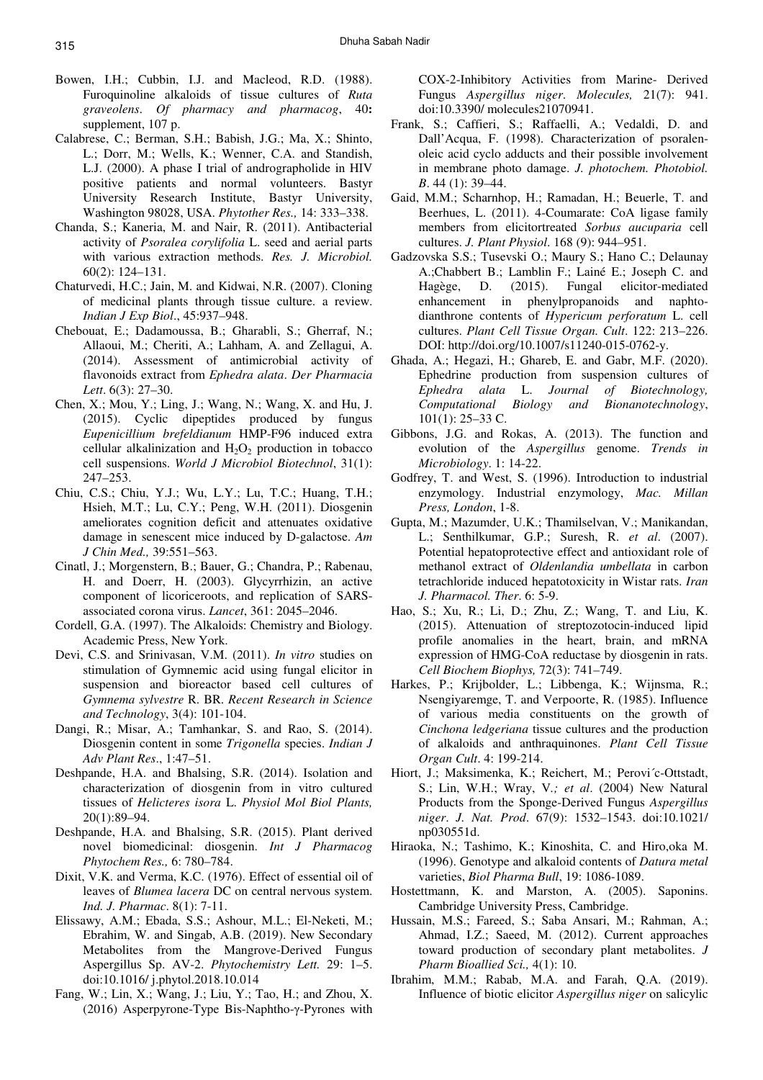- Bowen, I.H.; Cubbin, I.J. and Macleod, R.D. (1988). Furoquinoline alkaloids of tissue cultures of *Ruta graveolens*. *Of pharmacy and pharmacog*, 40**:**  supplement, 107 p.
- Calabrese, C.; Berman, S.H.; Babish, J.G.; Ma, X.; Shinto, L.; Dorr, M.; Wells, K.; Wenner, C.A. and Standish, L.J. (2000). A phase I trial of andrographolide in HIV positive patients and normal volunteers. Bastyr University Research Institute, Bastyr University, Washington 98028, USA. *Phytother Res.,* 14: 333–338.
- Chanda, S.; Kaneria, M. and Nair, R. (2011). Antibacterial activity of *Psoralea corylifolia* L. seed and aerial parts with various extraction methods. *Res. J. Microbiol.* 60(2): 124–131.
- Chaturvedi, H.C.; Jain, M. and Kidwai, N.R. (2007). Cloning of medicinal plants through tissue culture. a review. *Indian J Exp Biol*., 45:937–948.
- Chebouat, E.; Dadamoussa, B.; Gharabli, S.; Gherraf, N.; Allaoui, M.; Cheriti, A.; Lahham, A. and Zellagui, A. (2014). Assessment of antimicrobial activity of flavonoids extract from *Ephedra alata*. *Der Pharmacia Lett*. 6(3): 27–30.
- Chen, X.; Mou, Y.; Ling, J.; Wang, N.; Wang, X. and Hu, J. (2015). Cyclic dipeptides produced by fungus *Eupenicillium brefeldianum* HMP-F96 induced extra cellular alkalinization and  $H_2O_2$  production in tobacco cell suspensions. *World J Microbiol Biotechnol*, 31(1): 247–253.
- Chiu, C.S.; Chiu, Y.J.; Wu, L.Y.; Lu, T.C.; Huang, T.H.; Hsieh, M.T.; Lu, C.Y.; Peng, W.H. (2011). Diosgenin ameliorates cognition deficit and attenuates oxidative damage in senescent mice induced by D-galactose. *Am J Chin Med.,* 39:551–563.
- Cinatl, J.; Morgenstern, B.; Bauer, G.; Chandra, P.; Rabenau, H. and Doerr, H. (2003). Glycyrrhizin, an active component of licoriceroots, and replication of SARSassociated corona virus. *Lancet*, 361: 2045–2046.
- Cordell, G.A. (1997). The Alkaloids: Chemistry and Biology. Academic Press, New York.
- Devi, C.S. and Srinivasan, V.M. (2011). *In vitro* studies on stimulation of Gymnemic acid using fungal elicitor in suspension and bioreactor based cell cultures of *Gymnema sylvestre* R. BR. *Recent Research in Science and Technology*, 3(4): 101-104.
- Dangi, R.; Misar, A.; Tamhankar, S. and Rao, S. (2014). Diosgenin content in some *Trigonella* species. *Indian J Adv Plant Res*., 1:47–51.
- Deshpande, H.A. and Bhalsing, S.R. (2014). Isolation and characterization of diosgenin from in vitro cultured tissues of *Helicteres isora* L. *Physiol Mol Biol Plants,* 20(1):89–94.
- Deshpande, H.A. and Bhalsing, S.R. (2015). Plant derived novel biomedicinal: diosgenin. *Int J Pharmacog Phytochem Res.,* 6: 780–784.
- Dixit, V.K. and Verma, K.C. (1976). Effect of essential oil of leaves of *Blumea lacera* DC on central nervous system. *Ind. J. Pharmac*. 8(1): 7-11.
- Elissawy, A.M.; Ebada, S.S.; Ashour, M.L.; El-Neketi, M.; Ebrahim, W. and Singab, A.B. (2019). New Secondary Metabolites from the Mangrove-Derived Fungus Aspergillus Sp. AV-2. *Phytochemistry Lett.* 29: 1–5. doi:10.1016/ j.phytol.2018.10.014
- Fang, W.; Lin, X.; Wang, J.; Liu, Y.; Tao, H.; and Zhou, X. (2016) Asperpyrone-Type Bis-Naphtho-γ-Pyrones with

COX-2-Inhibitory Activities from Marine- Derived Fungus *Aspergillus niger*. *Molecules,* 21(7): 941. doi:10.3390/ molecules21070941.

- Frank, S.; Caffieri, S.; Raffaelli, A.; Vedaldi, D. and Dall'Acqua, F. (1998). Characterization of psoralenoleic acid cyclo adducts and their possible involvement in membrane photo damage. *J. photochem. Photobiol. B*. 44 (1): 39–44.
- Gaid, M.M.; Scharnhop, H.; Ramadan, H.; Beuerle, T. and Beerhues, L. (2011). 4-Coumarate: CoA ligase family members from elicitortreated *Sorbus aucuparia* cell cultures. *J. Plant Physiol*. 168 (9): 944–951.
- Gadzovska S.S.; Tusevski O.; Maury S.; Hano C.; Delaunay A.;Chabbert B.; Lamblin F.; Lainé E.; Joseph C. and Hagège, D. (2015). Fungal elicitor-mediated enhancement in phenylpropanoids and naphtodianthrone contents of *Hypericum perforatum* L. cell cultures. *Plant Cell Tissue Organ. Cult*. 122: 213–226. DOI: http://doi.org/10.1007/s11240-015-0762-y.
- Ghada, A.; Hegazi, H.; Ghareb, E. and Gabr, M.F. (2020). Ephedrine production from suspension cultures of *Ephedra alata* L. *Journal of Biotechnology, Computational Biology and Bionanotechnology*, 101(1): 25–33 C.
- Gibbons, J.G. and Rokas, A. (2013). The function and evolution of the *Aspergillus* genome. *Trends in Microbiology*. 1: 14-22.
- Godfrey, T. and West, S. (1996). Introduction to industrial enzymology. Industrial enzymology, *Mac. Millan Press, London*, 1-8.
- Gupta, M.; Mazumder, U.K.; Thamilselvan, V.; Manikandan, L.; Senthilkumar, G.P.; Suresh, R. *et al*. (2007). Potential hepatoprotective effect and antioxidant role of methanol extract of *Oldenlandia umbellata* in carbon tetrachloride induced hepatotoxicity in Wistar rats. *Iran J. Pharmacol. Ther*. 6: 5-9.
- Hao, S.; Xu, R.; Li, D.; Zhu, Z.; Wang, T. and Liu, K. (2015). Attenuation of streptozotocin-induced lipid profile anomalies in the heart, brain, and mRNA expression of HMG-CoA reductase by diosgenin in rats. *Cell Biochem Biophys,* 72(3): 741–749.
- Harkes, P.; Krijbolder, L.; Libbenga, K.; Wijnsma, R.; Nsengiyaremge, T. and Verpoorte, R. (1985). Influence of various media constituents on the growth of *Cinchona ledgeriana* tissue cultures and the production of alkaloids and anthraquinones. *Plant Cell Tissue Organ Cult*. 4: 199-214.
- Hiort, J.; Maksimenka, K.; Reichert, M.; Perovi´c-Ottstadt, S.; Lin, W.H.; Wray, V*.; et al*. (2004) New Natural Products from the Sponge-Derived Fungus *Aspergillus niger*. *J. Nat. Prod*. 67(9): 1532–1543. doi:10.1021/ np030551d.
- Hiraoka, N.; Tashimo, K.; Kinoshita, C. and Hiro,oka M. (1996). Genotype and alkaloid contents of *Datura metal* varieties, *Biol Pharma Bull*, 19: 1086-1089.
- Hostettmann, K. and Marston, A. (2005). Saponins. Cambridge University Press, Cambridge.
- Hussain, M.S.; Fareed, S.; Saba Ansari, M.; Rahman, A.; Ahmad, I.Z.; Saeed, M. (2012). Current approaches toward production of secondary plant metabolites. *J Pharm Bioallied Sci.,* 4(1): 10.
- Ibrahim, M.M.; Rabab, M.A. and Farah, Q.A. (2019). Influence of biotic elicitor *Aspergillus niger* on salicylic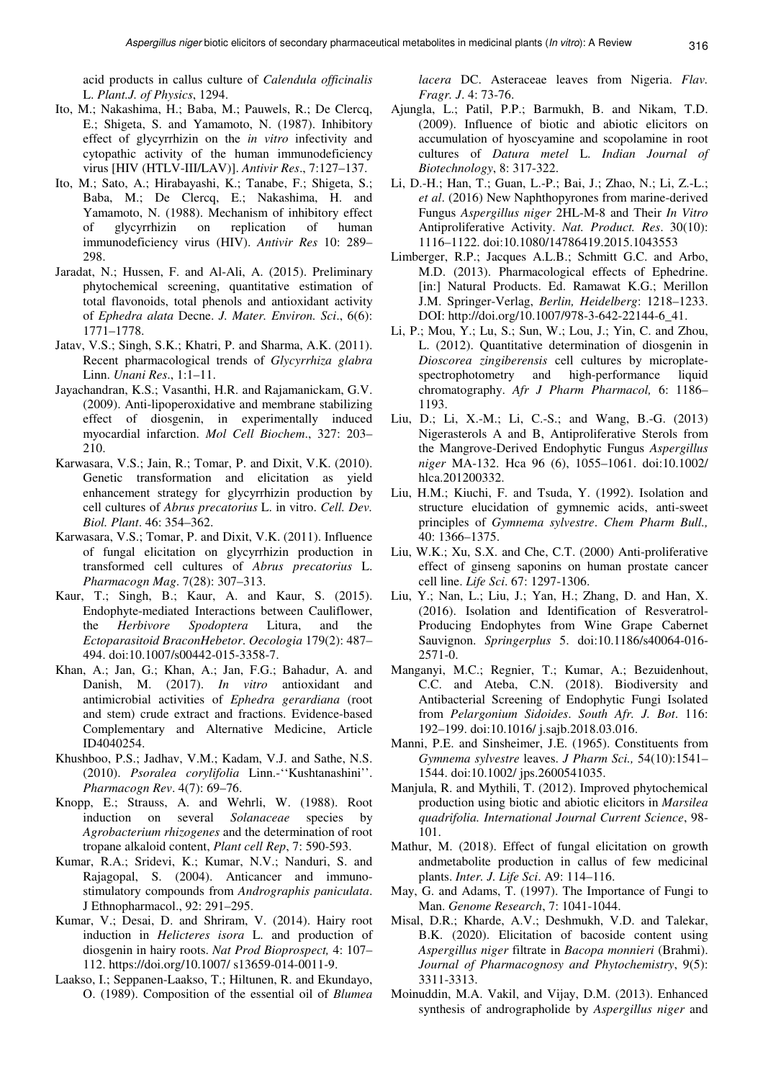acid products in callus culture of *Calendula officinalis*  L. *Plant.J. of Physics*, 1294.

- Ito, M.; Nakashima, H.; Baba, M.; Pauwels, R.; De Clercq, E.; Shigeta, S. and Yamamoto, N. (1987). Inhibitory effect of glycyrrhizin on the *in vitro* infectivity and cytopathic activity of the human immunodeficiency virus [HIV (HTLV-III/LAV)]. *Antivir Res*., 7:127–137.
- Ito, M.; Sato, A.; Hirabayashi, K.; Tanabe, F.; Shigeta, S.; Baba, M.; De Clercq, E.; Nakashima, H. and Yamamoto, N. (1988). Mechanism of inhibitory effect of glycyrrhizin on replication of human immunodeficiency virus (HIV). *Antivir Res* 10: 289– 298.
- Jaradat, N.; Hussen, F. and Al-Ali, A. (2015). Preliminary phytochemical screening, quantitative estimation of total flavonoids, total phenols and antioxidant activity of *Ephedra alata* Decne. *J. Mater. Environ. Sci*., 6(6): 1771–1778.
- Jatav, V.S.; Singh, S.K.; Khatri, P. and Sharma, A.K. (2011). Recent pharmacological trends of *Glycyrrhiza glabra*  Linn. *Unani Res*., 1:1–11.
- Jayachandran, K.S.; Vasanthi, H.R. and Rajamanickam, G.V. (2009). Anti-lipoperoxidative and membrane stabilizing effect of diosgenin, in experimentally induced myocardial infarction. *Mol Cell Biochem*., 327: 203– 210.
- Karwasara, V.S.; Jain, R.; Tomar, P. and Dixit, V.K. (2010). Genetic transformation and elicitation as yield enhancement strategy for glycyrrhizin production by cell cultures of *Abrus precatorius* L. in vitro. *Cell. Dev. Biol. Plant*. 46: 354–362.
- Karwasara, V.S.; Tomar, P. and Dixit, V.K. (2011). Influence of fungal elicitation on glycyrrhizin production in transformed cell cultures of *Abrus precatorius* L. *Pharmacogn Mag*. 7(28): 307–313.
- Kaur, T.; Singh, B.; Kaur, A. and Kaur, S. (2015). Endophyte-mediated Interactions between Cauliflower, the *Herbivore Spodoptera* Litura, and the *Ectoparasitoid BraconHebetor*. *Oecologia* 179(2): 487– 494. doi:10.1007/s00442-015-3358-7.
- Khan, A.; Jan, G.; Khan, A.; Jan, F.G.; Bahadur, A. and Danish, M. (2017). *In vitro* antioxidant and antimicrobial activities of *Ephedra gerardiana* (root and stem) crude extract and fractions. Evidence-based Complementary and Alternative Medicine, Article ID4040254.
- Khushboo, P.S.; Jadhav, V.M.; Kadam, V.J. and Sathe, N.S. (2010). *Psoralea corylifolia* Linn.-''Kushtanashini''. *Pharmacogn Rev*. 4(7): 69–76.
- Knopp, E.; Strauss, A. and Wehrli, W. (1988). Root induction on several *Solanaceae* species by *Agrobacterium rhizogenes* and the determination of root tropane alkaloid content, *Plant cell Rep*, 7: 590-593.
- Kumar, R.A.; Sridevi, K.; Kumar, N.V.; Nanduri, S. and Rajagopal, S. (2004). Anticancer and immunostimulatory compounds from *Andrographis paniculata*. J Ethnopharmacol., 92: 291–295.
- Kumar, V.; Desai, D. and Shriram, V. (2014). Hairy root induction in *Helicteres isora* L. and production of diosgenin in hairy roots. *Nat Prod Bioprospect,* 4: 107– 112. https://doi.org/10.1007/ s13659-014-0011-9.
- Laakso, I.; Seppanen-Laakso, T.; Hiltunen, R. and Ekundayo, O. (1989). Composition of the essential oil of *Blumea*

*lacera* DC. Asteraceae leaves from Nigeria. *Flav. Fragr. J*. 4: 73-76.

- Ajungla, L.; Patil, P.P.; Barmukh, B. and Nikam, T.D. (2009). Influence of biotic and abiotic elicitors on accumulation of hyoscyamine and scopolamine in root cultures of *Datura metel* L. *Indian Journal of Biotechnology*, 8: 317-322.
- Li, D.-H.; Han, T.; Guan, L.-P.; Bai, J.; Zhao, N.; Li, Z.-L.; *et al*. (2016) New Naphthopyrones from marine-derived Fungus *Aspergillus niger* 2HL-M-8 and Their *In Vitro*  Antiproliferative Activity. *Nat. Product. Res*. 30(10): 1116–1122. doi:10.1080/14786419.2015.1043553
- Limberger, R.P.; Jacques A.L.B.; Schmitt G.C. and Arbo, M.D. (2013). Pharmacological effects of Ephedrine. [in:] Natural Products. Ed. Ramawat K.G.; Merillon J.M. Springer-Verlag, *Berlin, Heidelberg*: 1218–1233. DOI: http://doi.org/10.1007/978-3-642-22144-6\_41.
- Li, P.; Mou, Y.; Lu, S.; Sun, W.; Lou, J.; Yin, C. and Zhou, L. (2012). Quantitative determination of diosgenin in *Dioscorea zingiberensis* cell cultures by microplatespectrophotometry and high-performance liquid chromatography. *Afr J Pharm Pharmacol,* 6: 1186– 1193.
- Liu, D.; Li, X.-M.; Li, C.-S.; and Wang, B.-G. (2013) Nigerasterols A and B, Antiproliferative Sterols from the Mangrove-Derived Endophytic Fungus *Aspergillus niger* MA-132. Hca 96 (6), 1055–1061. doi:10.1002/ hlca.201200332.
- Liu, H.M.; Kiuchi, F. and Tsuda, Y. (1992). Isolation and structure elucidation of gymnemic acids, anti-sweet principles of *Gymnema sylvestre*. *Chem Pharm Bull.,* 40: 1366–1375.
- Liu, W.K.; Xu, S.X. and Che, C.T. (2000) Anti-proliferative effect of ginseng saponins on human prostate cancer cell line. *Life Sci*. 67: 1297-1306.
- Liu, Y.; Nan, L.; Liu, J.; Yan, H.; Zhang, D. and Han, X. (2016). Isolation and Identification of Resveratrol-Producing Endophytes from Wine Grape Cabernet Sauvignon. *Springerplus* 5. doi:10.1186/s40064-016- 2571-0.
- Manganyi, M.C.; Regnier, T.; Kumar, A.; Bezuidenhout, C.C. and Ateba, C.N. (2018). Biodiversity and Antibacterial Screening of Endophytic Fungi Isolated from *Pelargonium Sidoides*. *South Afr. J. Bot*. 116: 192–199. doi:10.1016/ j.sajb.2018.03.016.
- Manni, P.E. and Sinsheimer, J.E. (1965). Constituents from *Gymnema sylvestre* leaves. *J Pharm Sci.,* 54(10):1541– 1544. doi:10.1002/ jps.2600541035.
- Manjula, R. and Mythili, T. (2012). Improved phytochemical production using biotic and abiotic elicitors in *Marsilea quadrifolia. International Journal Current Science*, 98- 101.
- Mathur, M. (2018). Effect of fungal elicitation on growth andmetabolite production in callus of few medicinal plants. *Inter. J. Life Sci*. A9: 114–116.
- May, G. and Adams, T. (1997). The Importance of Fungi to Man. *Genome Research*, 7: 1041-1044.
- Misal, D.R.; Kharde, A.V.; Deshmukh, V.D. and Talekar, B.K. (2020). Elicitation of bacoside content using *Aspergillus niger* filtrate in *Bacopa monnieri* (Brahmi). *Journal of Pharmacognosy and Phytochemistry*, 9(5): 3311-3313.
- Moinuddin, M.A. Vakil, and Vijay, D.M. (2013). Enhanced synthesis of andrographolide by *Aspergillus niger* and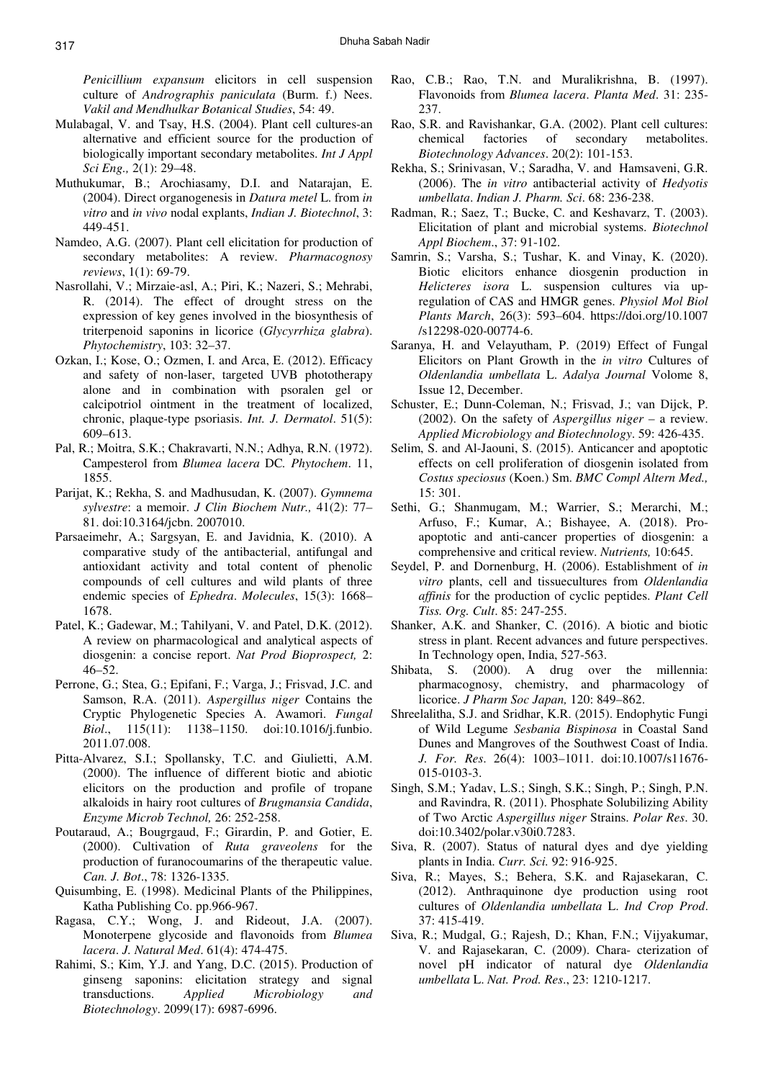*Penicillium expansum* elicitors in cell suspension culture of *Andrographis paniculata* (Burm. f.) Nees. *Vakil and Mendhulkar Botanical Studies*, 54: 49.

- Mulabagal, V. and Tsay, H.S. (2004). Plant cell cultures-an alternative and efficient source for the production of biologically important secondary metabolites. *Int J Appl Sci Eng.,* 2(1): 29–48.
- Muthukumar, B.; Arochiasamy, D.I. and Natarajan, E. (2004). Direct organogenesis in *Datura metel* L. from *in vitro* and *in vivo* nodal explants, *Indian J. Biotechnol*, 3: 449-451.
- Namdeo, A.G. (2007). Plant cell elicitation for production of secondary metabolites: A review. *Pharmacognosy reviews*, 1(1): 69-79.
- Nasrollahi, V.; Mirzaie-asl, A.; Piri, K.; Nazeri, S.; Mehrabi, R. (2014). The effect of drought stress on the expression of key genes involved in the biosynthesis of triterpenoid saponins in licorice (*Glycyrrhiza glabra*). *Phytochemistry*, 103: 32–37.
- Ozkan, I.; Kose, O.; Ozmen, I. and Arca, E. (2012). Efficacy and safety of non-laser, targeted UVB phototherapy alone and in combination with psoralen gel or calcipotriol ointment in the treatment of localized, chronic, plaque-type psoriasis. *Int. J. Dermatol*. 51(5): 609–613.
- Pal, R.; Moitra, S.K.; Chakravarti, N.N.; Adhya, R.N. (1972). Campesterol from *Blumea lacera* DC*. Phytochem*. 11, 1855.
- Parijat, K.; Rekha, S. and Madhusudan, K. (2007). *Gymnema sylvestre*: a memoir. *J Clin Biochem Nutr.,* 41(2): 77– 81. doi:10.3164/jcbn. 2007010.
- Parsaeimehr, A.; Sargsyan, E. and Javidnia, K. (2010). A comparative study of the antibacterial, antifungal and antioxidant activity and total content of phenolic compounds of cell cultures and wild plants of three endemic species of *Ephedra*. *Molecules*, 15(3): 1668– 1678.
- Patel, K.; Gadewar, M.; Tahilyani, V. and Patel, D.K. (2012). A review on pharmacological and analytical aspects of diosgenin: a concise report. *Nat Prod Bioprospect,* 2: 46–52.
- Perrone, G.; Stea, G.; Epifani, F.; Varga, J.; Frisvad, J.C. and Samson, R.A. (2011). *Aspergillus niger* Contains the Cryptic Phylogenetic Species A. Awamori. *Fungal Biol*., 115(11): 1138–1150. doi:10.1016/j.funbio. 2011.07.008.
- Pitta-Alvarez, S.I.; Spollansky, T.C. and Giulietti, A.M. (2000). The influence of different biotic and abiotic elicitors on the production and profile of tropane alkaloids in hairy root cultures of *Brugmansia Candida*, *Enzyme Microb Technol,* 26: 252-258.
- Poutaraud, A.; Bougrgaud, F.; Girardin, P. and Gotier, E. (2000). Cultivation of *Ruta graveolens* for the production of furanocoumarins of the therapeutic value. *Can. J. Bot*., 78: 1326-1335.
- Quisumbing, E. (1998). Medicinal Plants of the Philippines, Katha Publishing Co. pp.966-967.
- Ragasa, C.Y.; Wong, J. and Rideout, J.A. (2007). Monoterpene glycoside and flavonoids from *Blumea lacera*. *J. Natural Med*. 61(4): 474-475.
- Rahimi, S.; Kim, Y.J. and Yang, D.C. (2015). Production of ginseng saponins: elicitation strategy and signal transductions. *Applied Microbiology and Biotechnology*. 2099(17): 6987-6996.
- Rao, C.B.; Rao, T.N. and Muralikrishna, B. (1997). Flavonoids from *Blumea lacera*. *Planta Med*. 31: 235- 237.
- Rao, S.R. and Ravishankar, G.A. (2002). Plant cell cultures: chemical factories of secondary metabolites. *Biotechnology Advances*. 20(2): 101-153.
- Rekha, S.; Srinivasan, V.; Saradha, V. and Hamsaveni, G.R. (2006). The *in vitro* antibacterial activity of *Hedyotis umbellata*. *Indian J. Pharm. Sci*. 68: 236-238.
- Radman, R.; Saez, T.; Bucke, C. and Keshavarz, T. (2003). Elicitation of plant and microbial systems. *Biotechnol Appl Biochem*., 37: 91-102.
- Samrin, S.; Varsha, S.; Tushar, K. and Vinay, K. (2020). Biotic elicitors enhance diosgenin production in *Helicteres isora* L. suspension cultures via upregulation of CAS and HMGR genes. *Physiol Mol Biol Plants March*, 26(3): 593–604. https://doi.org/10.1007 /s12298-020-00774-6.
- Saranya, H. and Velayutham, P. (2019) Effect of Fungal Elicitors on Plant Growth in the *in vitro* Cultures of *Oldenlandia umbellata* L. *Adalya Journal* Volome 8, Issue 12, December.
- Schuster, E.; Dunn-Coleman, N.; Frisvad, J.; van Dijck, P. (2002). On the safety of *Aspergillus niger* – a review. *Applied Microbiology and Biotechnology*. 59: 426-435.
- Selim, S. and Al-Jaouni, S. (2015). Anticancer and apoptotic effects on cell proliferation of diosgenin isolated from *Costus speciosus* (Koen.) Sm. *BMC Compl Altern Med.,* 15: 301.
- Sethi, G.; Shanmugam, M.; Warrier, S.; Merarchi, M.; Arfuso, F.; Kumar, A.; Bishayee, A. (2018). Proapoptotic and anti-cancer properties of diosgenin: a comprehensive and critical review. *Nutrients,* 10:645.
- Seydel, P. and Dornenburg, H. (2006). Establishment of *in vitro* plants, cell and tissuecultures from *Oldenlandia affinis* for the production of cyclic peptides. *Plant Cell Tiss. Org. Cult*. 85: 247-255.
- Shanker, A.K. and Shanker, C. (2016). A biotic and biotic stress in plant. Recent advances and future perspectives. In Technology open, India, 527-563.
- Shibata, S. (2000). A drug over the millennia: pharmacognosy, chemistry, and pharmacology of licorice. *J Pharm Soc Japan,* 120: 849–862.
- Shreelalitha, S.J. and Sridhar, K.R. (2015). Endophytic Fungi of Wild Legume *Sesbania Bispinosa* in Coastal Sand Dunes and Mangroves of the Southwest Coast of India. *J. For. Res*. 26(4): 1003–1011. doi:10.1007/s11676- 015-0103-3.
- Singh, S.M.; Yadav, L.S.; Singh, S.K.; Singh, P.; Singh, P.N. and Ravindra, R. (2011). Phosphate Solubilizing Ability of Two Arctic *Aspergillus niger* Strains. *Polar Res*. 30. doi:10.3402/polar.v30i0.7283.
- Siva, R. (2007). Status of natural dyes and dye yielding plants in India. *Curr. Sci.* 92: 916-925.
- Siva, R.; Mayes, S.; Behera, S.K. and Rajasekaran, C. (2012). Anthraquinone dye production using root cultures of *Oldenlandia umbellata* L. *Ind Crop Prod*. 37: 415-419.
- Siva, R.; Mudgal, G.; Rajesh, D.; Khan, F.N.; Vijyakumar, V. and Rajasekaran, C. (2009). Chara- cterization of novel pH indicator of natural dye *Oldenlandia umbellata* L. *Nat. Prod. Res*., 23: 1210-1217.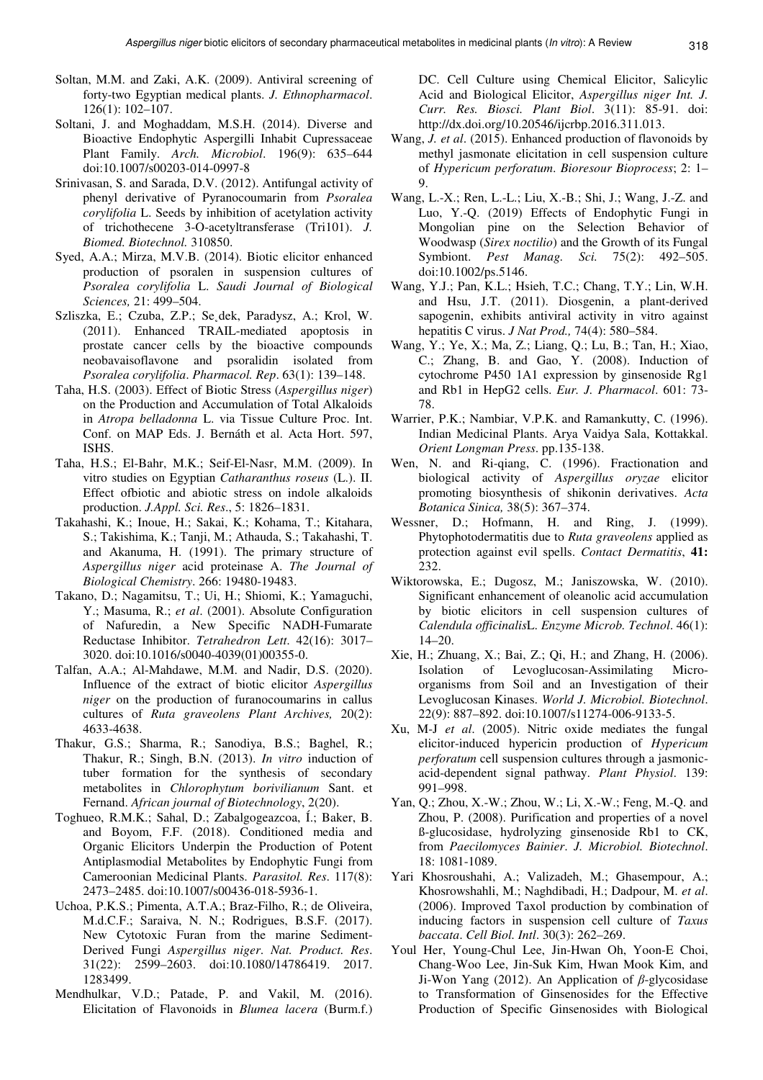- Soltan, M.M. and Zaki, A.K. (2009). Antiviral screening of forty-two Egyptian medical plants. *J. Ethnopharmacol*. 126(1): 102–107.
- Soltani, J. and Moghaddam, M.S.H. (2014). Diverse and Bioactive Endophytic Aspergilli Inhabit Cupressaceae Plant Family. *Arch. Microbiol*. 196(9): 635–644 doi:10.1007/s00203-014-0997-8
- Srinivasan, S. and Sarada, D.V. (2012). Antifungal activity of phenyl derivative of Pyranocoumarin from *Psoralea corylifolia* L. Seeds by inhibition of acetylation activity of trichothecene 3-O-acetyltransferase (Tri101). *J. Biomed. Biotechnol.* 310850.
- Syed, A.A.; Mirza, M.V.B. (2014). Biotic elicitor enhanced production of psoralen in suspension cultures of *Psoralea corylifolia* L. *Saudi Journal of Biological Sciences,* 21: 499–504.
- Szliszka, E.; Czuba, Z.P.; Se dek, Paradysz, A.; Krol, W. (2011). Enhanced TRAIL-mediated apoptosis in prostate cancer cells by the bioactive compounds neobavaisoflavone and psoralidin isolated from *Psoralea corylifolia*. *Pharmacol. Rep*. 63(1): 139–148.
- Taha, H.S. (2003). Effect of Biotic Stress (*Aspergillus niger*) on the Production and Accumulation of Total Alkaloids in *Atropa belladonna* L. via Tissue Culture Proc. Int. Conf. on MAP Eds. J. Bernáth et al. Acta Hort. 597, ISHS.
- Taha, H.S.; El-Bahr, M.K.; Seif-El-Nasr, M.M. (2009). In vitro studies on Egyptian *Catharanthus roseus* (L.). II. Effect ofbiotic and abiotic stress on indole alkaloids production. *J.Appl. Sci. Res*., 5: 1826–1831.
- Takahashi, K.; Inoue, H.; Sakai, K.; Kohama, T.; Kitahara, S.; Takishima, K.; Tanji, M.; Athauda, S.; Takahashi, T. and Akanuma, H. (1991). The primary structure of *Aspergillus niger* acid proteinase A. *The Journal of Biological Chemistry*. 266: 19480-19483.
- Takano, D.; Nagamitsu, T.; Ui, H.; Shiomi, K.; Yamaguchi, Y.; Masuma, R.; *et al*. (2001). Absolute Configuration of Nafuredin, a New Specific NADH-Fumarate Reductase Inhibitor. *Tetrahedron Lett*. 42(16): 3017– 3020. doi:10.1016/s0040-4039(01)00355-0.
- Talfan, A.A.; Al-Mahdawe, M.M. and Nadir, D.S. (2020). Influence of the extract of biotic elicitor *Aspergillus niger* on the production of furanocoumarins in callus cultures of *Ruta graveolens Plant Archives,* 20(2): 4633-4638.
- Thakur, G.S.; Sharma, R.; Sanodiya, B.S.; Baghel, R.; Thakur, R.; Singh, B.N. (2013). *In vitro* induction of tuber formation for the synthesis of secondary metabolites in *Chlorophytum borivilianum* Sant. et Fernand. *African journal of Biotechnology*, 2(20).
- Toghueo, R.M.K.; Sahal, D.; Zabalgogeazcoa, Í.; Baker, B. and Boyom, F.F. (2018). Conditioned media and Organic Elicitors Underpin the Production of Potent Antiplasmodial Metabolites by Endophytic Fungi from Cameroonian Medicinal Plants. *Parasitol. Res*. 117(8): 2473–2485. doi:10.1007/s00436-018-5936-1.
- Uchoa, P.K.S.; Pimenta, A.T.A.; Braz-Filho, R.; de Oliveira, M.d.C.F.; Saraiva, N. N.; Rodrigues, B.S.F. (2017). New Cytotoxic Furan from the marine Sediment-Derived Fungi *Aspergillus niger*. *Nat. Product. Res*. 31(22): 2599–2603. doi:10.1080/14786419. 2017. 1283499.
- Mendhulkar, V.D.; Patade, P. and Vakil, M. (2016). Elicitation of Flavonoids in *Blumea lacera* (Burm.f.)

DC. Cell Culture using Chemical Elicitor, Salicylic Acid and Biological Elicitor, *Aspergillus niger Int. J. Curr. Res. Biosci. Plant Biol*. 3(11): 85-91. doi: http://dx.doi.org/10.20546/ijcrbp.2016.311.013.

- Wang, *J. et al*. (2015). Enhanced production of flavonoids by methyl jasmonate elicitation in cell suspension culture of *Hypericum perforatum*. *Bioresour Bioprocess*; 2: 1– 9.
- Wang, L.-X.; Ren, L.-L.; Liu, X.-B.; Shi, J.; Wang, J.-Z. and Luo, Y.-Q. (2019) Effects of Endophytic Fungi in Mongolian pine on the Selection Behavior of Woodwasp (*Sirex noctilio*) and the Growth of its Fungal Symbiont. *Pest Manag. Sci.* 75(2): 492–505. doi:10.1002/ps.5146.
- Wang, Y.J.; Pan, K.L.; Hsieh, T.C.; Chang, T.Y.; Lin, W.H. and Hsu, J.T. (2011). Diosgenin, a plant-derived sapogenin, exhibits antiviral activity in vitro against hepatitis C virus. *J Nat Prod.,* 74(4): 580–584.
- Wang, Y.; Ye, X.; Ma, Z.; Liang, Q.; Lu, B.; Tan, H.; Xiao, C.; Zhang, B. and Gao, Y. (2008). Induction of cytochrome P450 1A1 expression by ginsenoside Rg1 and Rb1 in HepG2 cells. *Eur. J. Pharmacol*. 601: 73- 78.
- Warrier, P.K.; Nambiar, V.P.K. and Ramankutty, C. (1996). Indian Medicinal Plants. Arya Vaidya Sala, Kottakkal. *Orient Longman Press*. pp.135-138.
- Wen, N. and Ri-qiang, C. (1996). Fractionation and biological activity of *Aspergillus oryzae* elicitor promoting biosynthesis of shikonin derivatives. *Acta Botanica Sinica,* 38(5): 367–374.
- Wessner, D.; Hofmann, H. and Ring, J. (1999). Phytophotodermatitis due to *Ruta graveolens* applied as protection against evil spells. *Contact Dermatitis*, **41:**  232.
- Wiktorowska, E.; Dugosz, M.; Janiszowska, W. (2010). Significant enhancement of oleanolic acid accumulation by biotic elicitors in cell suspension cultures of *Calendula officinalis*L. *Enzyme Microb. Technol*. 46(1): 14–20.
- Xie, H.; Zhuang, X.; Bai, Z.; Qi, H.; and Zhang, H. (2006). Isolation of Levoglucosan-Assimilating Microorganisms from Soil and an Investigation of their Levoglucosan Kinases. *World J. Microbiol. Biotechnol*. 22(9): 887–892. doi:10.1007/s11274-006-9133-5.
- Xu, M-J *et al*. (2005). Nitric oxide mediates the fungal elicitor-induced hypericin production of *Hypericum perforatum* cell suspension cultures through a jasmonicacid-dependent signal pathway. *Plant Physiol*. 139: 991–998.
- Yan, Q.; Zhou, X.-W.; Zhou, W.; Li, X.-W.; Feng, M.-Q. and Zhou, P. (2008). Purification and properties of a novel ß-glucosidase, hydrolyzing ginsenoside Rb1 to CK, from *Paecilomyces Bainier*. *J. Microbiol. Biotechnol*. 18: 1081-1089.
- Yari Khosroushahi, A.; Valizadeh, M.; Ghasempour, A.; Khosrowshahli, M.; Naghdibadi, H.; Dadpour, M. *et al*. (2006). Improved Taxol production by combination of inducing factors in suspension cell culture of *Taxus baccata*. *Cell Biol. Intl*. 30(3): 262–269.
- Youl Her, Young-Chul Lee, Jin-Hwan Oh, Yoon-E Choi, Chang-Woo Lee, Jin-Suk Kim, Hwan Mook Kim, and Ji-Won Yang (2012). An Application of  $\beta$ -glycosidase to Transformation of Ginsenosides for the Effective Production of Specific Ginsenosides with Biological